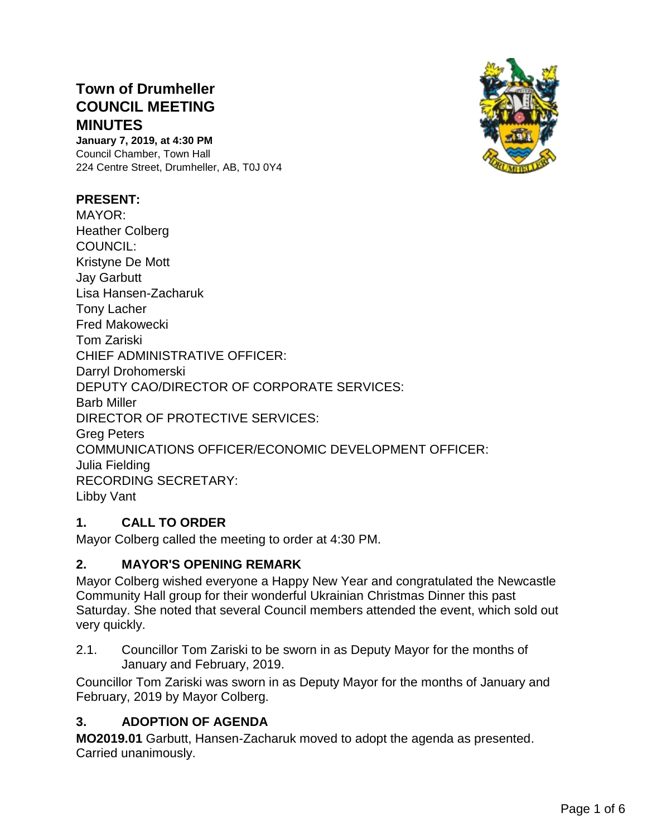# **Town of Drumheller COUNCIL MEETING MINUTES**

**January 7, 2019, at 4:30 PM** Council Chamber, Town Hall 224 Centre Street, Drumheller, AB, T0J 0Y4



MAYOR: Heather Colberg COUNCIL: Kristyne De Mott Jay Garbutt Lisa Hansen-Zacharuk Tony Lacher Fred Makowecki Tom Zariski CHIEF ADMINISTRATIVE OFFICER: Darryl Drohomerski DEPUTY CAO/DIRECTOR OF CORPORATE SERVICES: Barb Miller DIRECTOR OF PROTECTIVE SERVICES: Greg Peters COMMUNICATIONS OFFICER/ECONOMIC DEVELOPMENT OFFICER: Julia Fielding RECORDING SECRETARY: Libby Vant

# **1. CALL TO ORDER**

Mayor Colberg called the meeting to order at 4:30 PM.

### **2. MAYOR'S OPENING REMARK**

Mayor Colberg wished everyone a Happy New Year and congratulated the Newcastle Community Hall group for their wonderful Ukrainian Christmas Dinner this past Saturday. She noted that several Council members attended the event, which sold out very quickly.

2.1. Councillor Tom Zariski to be sworn in as Deputy Mayor for the months of January and February, 2019.

Councillor Tom Zariski was sworn in as Deputy Mayor for the months of January and February, 2019 by Mayor Colberg.

# **3. ADOPTION OF AGENDA**

**MO2019.01** Garbutt, Hansen-Zacharuk moved to adopt the agenda as presented. Carried unanimously.

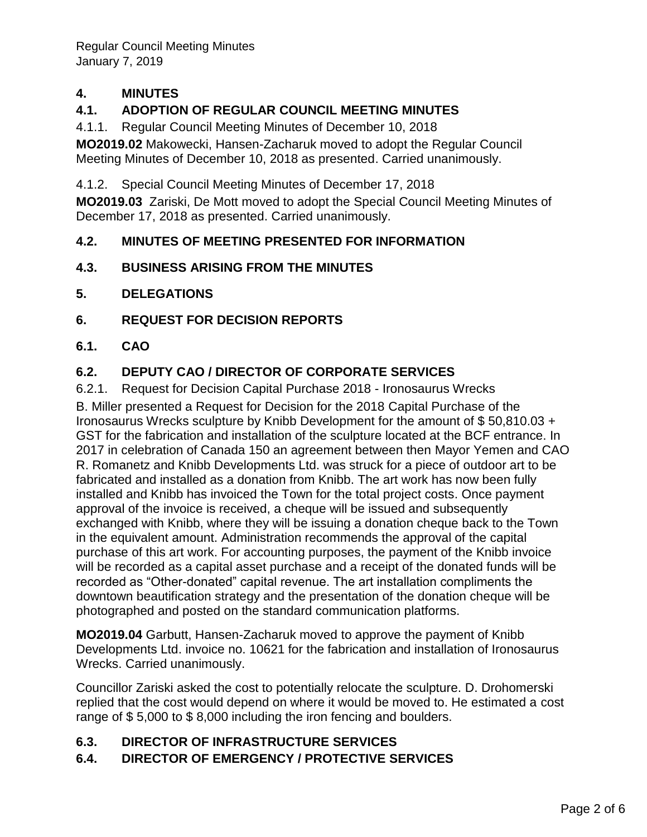Regular Council Meeting Minutes January 7, 2019

## **4. MINUTES**

## **4.1. ADOPTION OF REGULAR COUNCIL MEETING MINUTES**

4.1.1. Regular Council Meeting Minutes of December 10, 2018

**MO2019.02** Makowecki, Hansen-Zacharuk moved to adopt the Regular Council Meeting Minutes of December 10, 2018 as presented. Carried unanimously.

4.1.2. Special Council Meeting Minutes of December 17, 2018

**MO2019.03** Zariski, De Mott moved to adopt the Special Council Meeting Minutes of December 17, 2018 as presented. Carried unanimously.

### **4.2. MINUTES OF MEETING PRESENTED FOR INFORMATION**

### **4.3. BUSINESS ARISING FROM THE MINUTES**

- **5. DELEGATIONS**
- **6. REQUEST FOR DECISION REPORTS**
- **6.1. CAO**

### **6.2. DEPUTY CAO / DIRECTOR OF CORPORATE SERVICES**

6.2.1. Request for Decision Capital Purchase 2018 - Ironosaurus Wrecks

B. Miller presented a Request for Decision for the 2018 Capital Purchase of the Ironosaurus Wrecks sculpture by Knibb Development for the amount of \$ 50,810.03 + GST for the fabrication and installation of the sculpture located at the BCF entrance. In 2017 in celebration of Canada 150 an agreement between then Mayor Yemen and CAO R. Romanetz and Knibb Developments Ltd. was struck for a piece of outdoor art to be fabricated and installed as a donation from Knibb. The art work has now been fully installed and Knibb has invoiced the Town for the total project costs. Once payment approval of the invoice is received, a cheque will be issued and subsequently exchanged with Knibb, where they will be issuing a donation cheque back to the Town in the equivalent amount. Administration recommends the approval of the capital purchase of this art work. For accounting purposes, the payment of the Knibb invoice will be recorded as a capital asset purchase and a receipt of the donated funds will be recorded as "Other-donated" capital revenue. The art installation compliments the downtown beautification strategy and the presentation of the donation cheque will be photographed and posted on the standard communication platforms.

**MO2019.04** Garbutt, Hansen-Zacharuk moved to approve the payment of Knibb Developments Ltd. invoice no. 10621 for the fabrication and installation of Ironosaurus Wrecks. Carried unanimously.

Councillor Zariski asked the cost to potentially relocate the sculpture. D. Drohomerski replied that the cost would depend on where it would be moved to. He estimated a cost range of \$ 5,000 to \$ 8,000 including the iron fencing and boulders.

#### **6.3. DIRECTOR OF INFRASTRUCTURE SERVICES**

### **6.4. DIRECTOR OF EMERGENCY / PROTECTIVE SERVICES**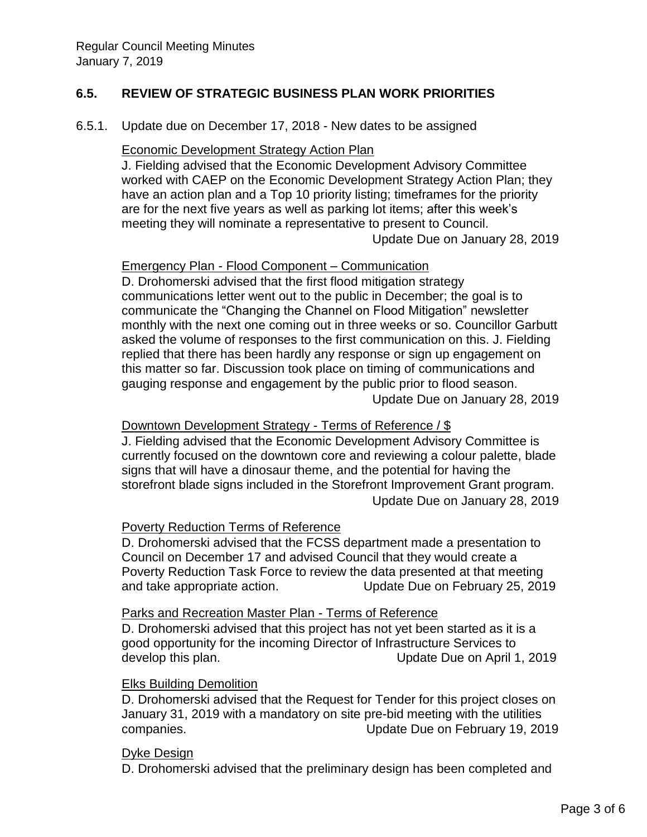### **6.5. REVIEW OF STRATEGIC BUSINESS PLAN WORK PRIORITIES**

6.5.1. Update due on December 17, 2018 - New dates to be assigned

#### Economic Development Strategy Action Plan

J. Fielding advised that the Economic Development Advisory Committee worked with CAEP on the Economic Development Strategy Action Plan; they have an action plan and a Top 10 priority listing; timeframes for the priority are for the next five years as well as parking lot items; after this week's meeting they will nominate a representative to present to Council. Update Due on January 28, 2019

#### Emergency Plan - Flood Component – Communication

D. Drohomerski advised that the first flood mitigation strategy communications letter went out to the public in December; the goal is to communicate the "Changing the Channel on Flood Mitigation" newsletter monthly with the next one coming out in three weeks or so. Councillor Garbutt asked the volume of responses to the first communication on this. J. Fielding replied that there has been hardly any response or sign up engagement on this matter so far. Discussion took place on timing of communications and gauging response and engagement by the public prior to flood season. Update Due on January 28, 2019

#### Downtown Development Strategy - Terms of Reference / \$

J. Fielding advised that the Economic Development Advisory Committee is currently focused on the downtown core and reviewing a colour palette, blade signs that will have a dinosaur theme, and the potential for having the storefront blade signs included in the Storefront Improvement Grant program. Update Due on January 28, 2019

#### Poverty Reduction Terms of Reference

D. Drohomerski advised that the FCSS department made a presentation to Council on December 17 and advised Council that they would create a Poverty Reduction Task Force to review the data presented at that meeting and take appropriate action. Update Due on February 25, 2019

#### Parks and Recreation Master Plan - Terms of Reference

D. Drohomerski advised that this project has not yet been started as it is a good opportunity for the incoming Director of Infrastructure Services to develop this plan. Update Due on April 1, 2019

#### Elks Building Demolition

D. Drohomerski advised that the Request for Tender for this project closes on January 31, 2019 with a mandatory on site pre-bid meeting with the utilities companies. Update Due on February 19, 2019

#### Dyke Design

D. Drohomerski advised that the preliminary design has been completed and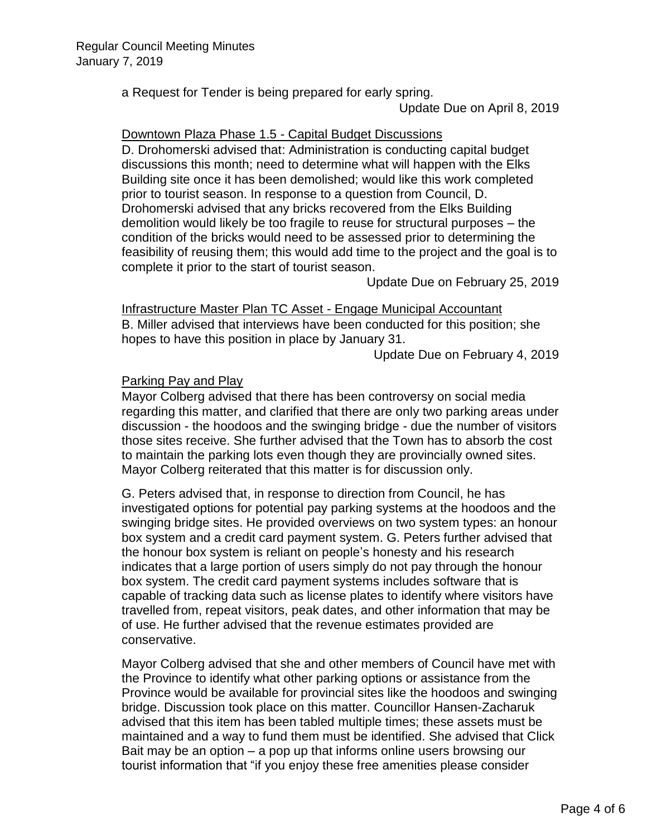a Request for Tender is being prepared for early spring.

Update Due on April 8, 2019

#### Downtown Plaza Phase 1.5 - Capital Budget Discussions

D. Drohomerski advised that: Administration is conducting capital budget discussions this month; need to determine what will happen with the Elks Building site once it has been demolished; would like this work completed prior to tourist season. In response to a question from Council, D. Drohomerski advised that any bricks recovered from the Elks Building demolition would likely be too fragile to reuse for structural purposes – the condition of the bricks would need to be assessed prior to determining the feasibility of reusing them; this would add time to the project and the goal is to complete it prior to the start of tourist season.

Update Due on February 25, 2019

Infrastructure Master Plan TC Asset - Engage Municipal Accountant B. Miller advised that interviews have been conducted for this position; she hopes to have this position in place by January 31.

Update Due on February 4, 2019

### Parking Pay and Play

Mayor Colberg advised that there has been controversy on social media regarding this matter, and clarified that there are only two parking areas under discussion - the hoodoos and the swinging bridge - due the number of visitors those sites receive. She further advised that the Town has to absorb the cost to maintain the parking lots even though they are provincially owned sites. Mayor Colberg reiterated that this matter is for discussion only.

G. Peters advised that, in response to direction from Council, he has investigated options for potential pay parking systems at the hoodoos and the swinging bridge sites. He provided overviews on two system types: an honour box system and a credit card payment system. G. Peters further advised that the honour box system is reliant on people's honesty and his research indicates that a large portion of users simply do not pay through the honour box system. The credit card payment systems includes software that is capable of tracking data such as license plates to identify where visitors have travelled from, repeat visitors, peak dates, and other information that may be of use. He further advised that the revenue estimates provided are conservative.

Mayor Colberg advised that she and other members of Council have met with the Province to identify what other parking options or assistance from the Province would be available for provincial sites like the hoodoos and swinging bridge. Discussion took place on this matter. Councillor Hansen-Zacharuk advised that this item has been tabled multiple times; these assets must be maintained and a way to fund them must be identified. She advised that Click Bait may be an option – a pop up that informs online users browsing our tourist information that "if you enjoy these free amenities please consider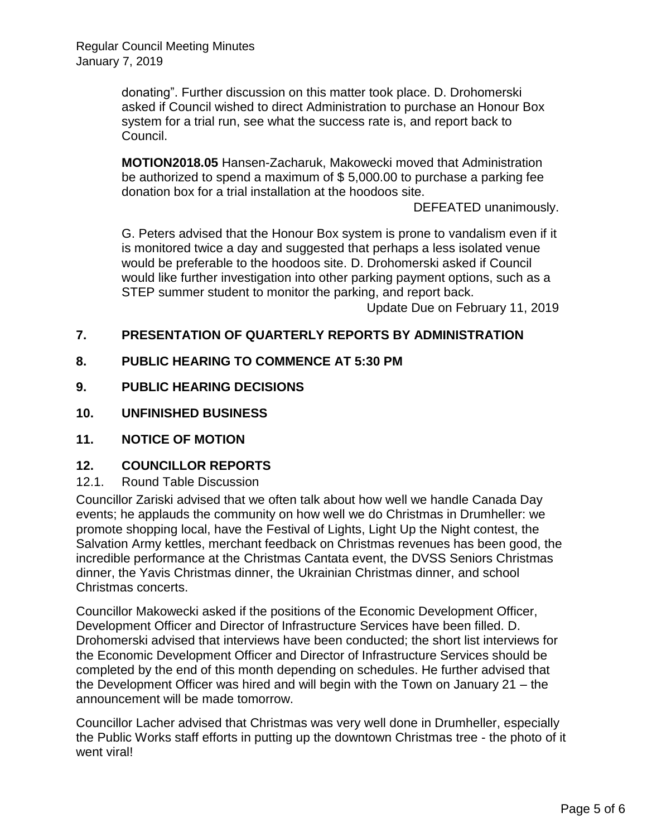donating". Further discussion on this matter took place. D. Drohomerski asked if Council wished to direct Administration to purchase an Honour Box system for a trial run, see what the success rate is, and report back to Council.

**MOTION2018.05** Hansen-Zacharuk, Makowecki moved that Administration be authorized to spend a maximum of \$ 5,000.00 to purchase a parking fee donation box for a trial installation at the hoodoos site.

DEFEATED unanimously.

G. Peters advised that the Honour Box system is prone to vandalism even if it is monitored twice a day and suggested that perhaps a less isolated venue would be preferable to the hoodoos site. D. Drohomerski asked if Council would like further investigation into other parking payment options, such as a STEP summer student to monitor the parking, and report back.

Update Due on February 11, 2019

### **7. PRESENTATION OF QUARTERLY REPORTS BY ADMINISTRATION**

- **8. PUBLIC HEARING TO COMMENCE AT 5:30 PM**
- **9. PUBLIC HEARING DECISIONS**
- **10. UNFINISHED BUSINESS**
- **11. NOTICE OF MOTION**

#### **12. COUNCILLOR REPORTS**

#### 12.1. Round Table Discussion

Councillor Zariski advised that we often talk about how well we handle Canada Day events; he applauds the community on how well we do Christmas in Drumheller: we promote shopping local, have the Festival of Lights, Light Up the Night contest, the Salvation Army kettles, merchant feedback on Christmas revenues has been good, the incredible performance at the Christmas Cantata event, the DVSS Seniors Christmas dinner, the Yavis Christmas dinner, the Ukrainian Christmas dinner, and school Christmas concerts.

Councillor Makowecki asked if the positions of the Economic Development Officer, Development Officer and Director of Infrastructure Services have been filled. D. Drohomerski advised that interviews have been conducted; the short list interviews for the Economic Development Officer and Director of Infrastructure Services should be completed by the end of this month depending on schedules. He further advised that the Development Officer was hired and will begin with the Town on January 21 – the announcement will be made tomorrow.

Councillor Lacher advised that Christmas was very well done in Drumheller, especially the Public Works staff efforts in putting up the downtown Christmas tree - the photo of it went viral!